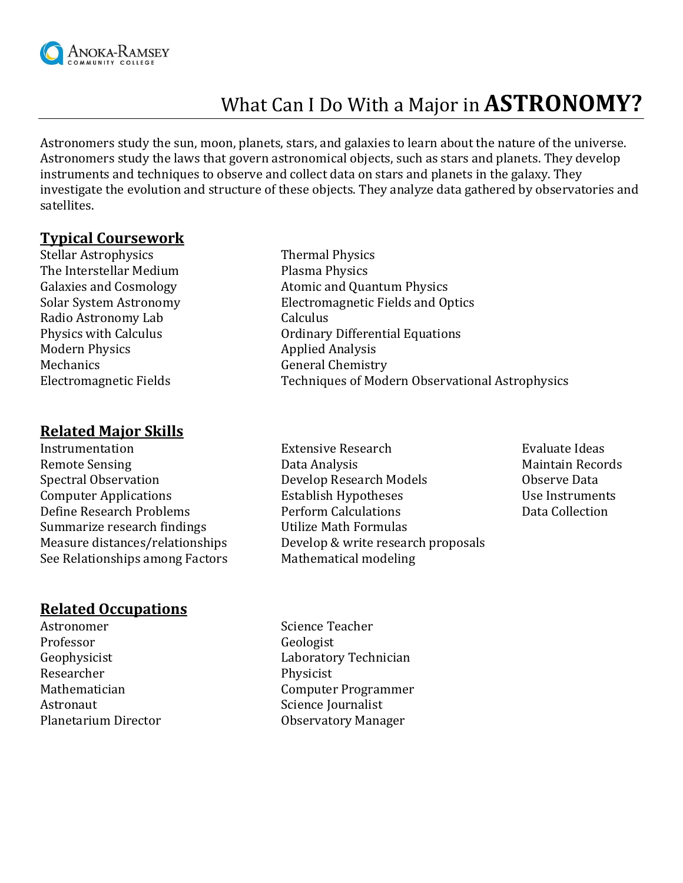

# What Can I Do With a Major in **ASTRONOMY?**

Astronomers study the sun, moon, planets, stars, and galaxies to learn about the nature of the universe. Astronomers study the laws that govern astronomical objects, such as stars and planets. They develop instruments and techniques to observe and collect data on stars and planets in the galaxy. They investigate the evolution and structure of these objects. They analyze data gathered by observatories and satellites.

#### **Typical Coursework**

Stellar Astrophysics Thermal Physics The Interstellar Medium Plasma Physics Radio Astronomy Lab Calculus Modern Physics **Applied Analysis** Applied Analysis Mechanics General Chemistry

#### **Related Major Skills**

Summarize research findings Utilize Math Formulas See Relationships among Factors Mathematical modeling

### **Related Occupations**

Astronomer Science Teacher Professor Geologist Researcher Physicist Astronaut Science Journalist

Galaxies and Cosmology **Atomic and Quantum Physics** Solar System Astronomy Electromagnetic Fields and Optics Physics with Calculus **Calculus** Ordinary Differential Equations Electromagnetic Fields Techniques of Modern Observational Astrophysics

- Instrumentation Extensive Research Evaluate Ideas Remote Sensing The Communication of the Data Analysis Theorem and Maintain Records Spectral Observation Develop Research Models Observe Data Computer Applications **Establish Hypotheses** Use Instruments Define Research Problems Perform Calculations Data Collection Measure distances/relationships Develop & write research proposals
- 

Geophysicist Laboratory Technician Mathematician Computer Programmer Planetarium Director **Constanting Construction** Observatory Manager